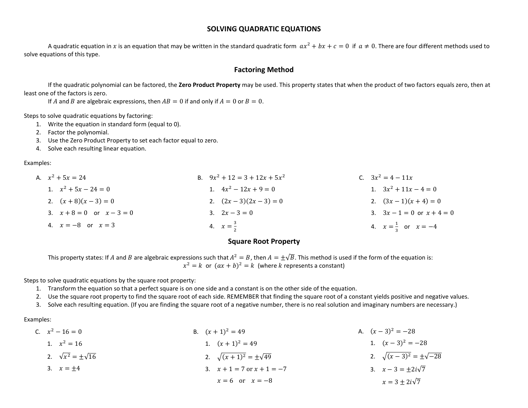### SOLVING QUADRATIC EQUATIONS

A quadratic equation in x is an equation that may be written in the standard quadratic form  $ax^2 + bx + c = 0$  if  $a \neq 0$ . There are four different methods used to solve equations of this type.

## Factoring Method

If the quadratic polynomial can be factored, the Zero Product Property may be used. This property states that when the product of two factors equals zero, then at least one of the factors is zero.

If A and B are algebraic expressions, then  $AB = 0$  if and only if  $A = 0$  or  $B = 0$ .

Steps to solve quadratic equations by factoring:

- 1. Write the equation in standard form (equal to 0).
- 2. Factor the polynomial.
- 3. Use the Zero Product Property to set each factor equal to zero.
- 4. Solve each resulting linear equation.

Examples:

| A. $x^2 + 5x = 24$            | B. $9x^2 + 12 = 3 + 12x + 5x^2$ | C. $3x^2 = 4 - 11x$              |
|-------------------------------|---------------------------------|----------------------------------|
| 1. $x^2 + 5x - 24 = 0$        | 1. $4x^2 - 12x + 9 = 0$         | 1. $3x^2 + 11x - 4 = 0$          |
| 2. $(x+8)(x-3) = 0$           | 2. $(2x-3)(2x-3) = 0$           | 2. $(3x-1)(x+4) = 0$             |
| 3. $x + 8 = 0$ or $x - 3 = 0$ | 3. $2x-3=0$                     | 3. $3x - 1 = 0$ or $x + 4 = 0$   |
| 4. $x = -8$ or $x = 3$        | 4. $x = \frac{3}{2}$            | 4. $x = \frac{1}{2}$ or $x = -4$ |

### Square Root Property

This property states: If A and B are algebraic expressions such that  $A^2 = B$ , then  $A = \pm \sqrt{B}$ . This method is used if the form of the equation is:  $x^2 = k$  or  $(ax + b)^2 = k$  (where k represents a constant)

Steps to solve quadratic equations by the square root property:

- 1. Transform the equation so that a perfect square is on one side and a constant is on the other side of the equation.
- 2. Use the square root property to find the square root of each side. REMEMBER that finding the square root of a constant yields positive and negative values.
- 3. Solve each resulting equation. (If you are finding the square root of a negative number, there is no real solution and imaginary numbers are necessary.)

Examples:

| C. $x^2 - 16 = 0$               | B. $(x + 1)^2 = 49$                 | A. $(x-3)^2 = -28$                   |
|---------------------------------|-------------------------------------|--------------------------------------|
| 1. $x^2 = 16$                   | 1. $(x+1)^2 = 49$                   | 1. $(x-3)^2 = -28$                   |
| 2. $\sqrt{x^2} = \pm \sqrt{16}$ | 2. $\sqrt{(x+1)^2} = \pm \sqrt{49}$ | 2. $\sqrt{(x-3)^2} = \pm \sqrt{-28}$ |
| 3. $x = \pm 4$                  | 3. $x + 1 = 7$ or $x + 1 = -7$      | 3. $x-3=\pm 2i\sqrt{7}$              |
|                                 | $x = 6$ or $x = -8$                 | $x = 3 \pm 2i\sqrt{7}$               |
|                                 |                                     |                                      |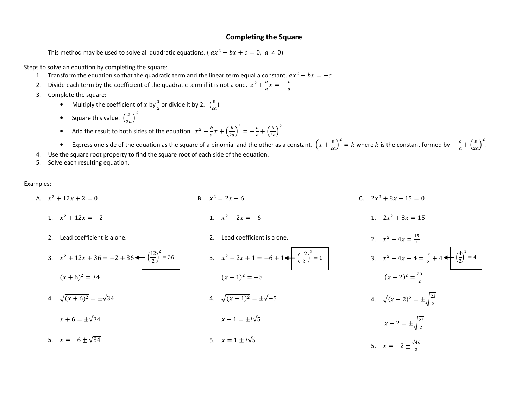#### Completing the Square

This method may be used to solve all quadratic equations. ( $ax^2 + bx + c = 0$ ,  $a \ne 0$ )

Steps to solve an equation by completing the square:

- 1. Transform the equation so that the quadratic term and the linear term equal a constant.  $ax^2 + bx = -c$
- 2.Divide each term by the coefficient of the quadratic term if it is not a one.  $x^2 + \frac{b}{a}x = -\frac{c}{a}$ .
- 3. Complete the square:
	- Multiply the coefficient of x by  $\frac{1}{2}$  or divide it by 2.  $\left(\frac{b}{2a}\right)$
	- •Square this value.  $\left(\frac{b}{2a}\right)^2$
	- •• Add the result to both sides of the equation.  $x^2 + \frac{b}{a}x + \left(\frac{b}{2a}\right)^2 = -\frac{c}{a} + \left(\frac{b}{2a}\right)^2$

•Express one side of the equation as the square of a binomial and the other as a constant.  $\left(x+\frac{b}{2a}\right)^2 = k$  where k is the constant formed by  $-\frac{c}{a} + \left(\frac{b}{2a}\right)^2$ .

- 4. Use the square root property to find the square root of each side of the equation.
- 5. Solve each resulting equation.

Examples:

- A.  $x^2 + 12x + 2 = 0$ 1.  $x^2 + 12x = -2$ 2. Lead coefficient is a one. 3.  $x^2 + 12x + 36 = -2 + 36$   $\leftarrow$   $\left(\frac{12}{2}\right)$  $(x + 6)^2 = 34$ 4.  $\sqrt{(x+6)^2} = \pm \sqrt{34}$ B.  $x^2 = 2x - 6$ 1.  $x^2 - 2x = -6$ 2. Lead coefficient is a one.  $\left(\frac{12}{2}\right)^2 = 36$  3.  $x^2 - 2x + 1 = -6 + 1$   $\left(\frac{-2}{2}\right)^2 = 1$  3.  $x^2 + 4x + 4 = \frac{15}{2} + 4$   $\left(\frac{4}{2}\right)^2 = 4$  $(x - 1)^2 = -5$ 4.  $\sqrt{(x-1)^2} = \pm \sqrt{-5}$ C.  $2x^2 + 8x - 15 = 0$ 1.  $2x^2 + 8x = 15$ 2.  $x^2 + 4x = \frac{15}{2}$ 3.  $x^2 + 4x + 4 = \frac{15}{2} + 4$  $(x+2)^2 = \frac{23}{2}$ 
	- $x + 6 = \pm \sqrt{34}$  $x - 1 = +i\sqrt{5}$

5.  $x = -6 \pm \sqrt{34}$ 5.  $x = 1 \pm i\sqrt{5}$ 

- 4.  $\sqrt{(x+2)^2} = \pm \sqrt{\frac{23}{2}}$
- $x + 2 = \pm \sqrt{\frac{23}{2}}$ 5.  $x = -2 \pm \frac{\sqrt{46}}{2}$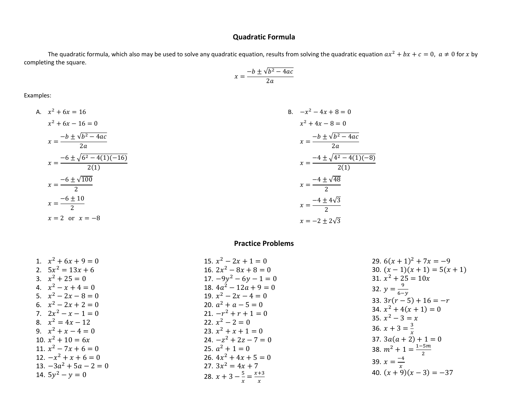## Quadratic Formula

The quadratic formula, which also may be used to solve any quadratic equation, results from solving the quadratic equation  $ax^2 + bx + c = 0$ ,  $a \neq 0$  for x by completing the square.

$$
x = \frac{-b \pm \sqrt{b^2 - 4ac}}{2a}
$$

Examples:

A. 
$$
x^2 + 6x = 16
$$
  
\n $x^2 + 6x - 16 = 0$   
\n $x = \frac{-b \pm \sqrt{b^2 - 4ac}}{2a}$   
\n $x = \frac{-6 \pm \sqrt{6^2 - 4(1)(-16)}}{2(1)}$   
\n $x = \frac{-6 \pm \sqrt{100}}{2}$   
\n $x = \frac{-6 \pm 10}{2}$   
\n $x = 2$  or  $x = -8$   
\nB.  $-x^2 - 4x + 8 = 0$   
\n $x^2 + 4x - 8 = 0$   
\n $x^2 + 4x - 8 = 0$   
\n $x = \frac{-b \pm \sqrt{b^2 - 4ac}}{2a}$   
\n $x = \frac{-4 \pm \sqrt{4^2 - 4(1)(-8)}}{2(1)}$   
\n $x = \frac{-4 \pm \sqrt{48}}{2}$   
\n $x = \frac{-4 \pm 4\sqrt{3}}{2}$   
\n $x = -2 \pm 2\sqrt{3}$ 

# Practice Problems

| 1. $x^2 + 6x + 9 = 0$    | 15. $x^2 - 2x + 1 = 0$                    | 29. $6(x + 1)^2 + 7x = -9$     |
|--------------------------|-------------------------------------------|--------------------------------|
| 2. $5x^2 = 13x + 6$      | 16. $2x^2 - 8x + 8 = 0$                   | 30. $(x-1)(x+1) = 5(x+1)$      |
| 3. $x^2 + 25 = 0$        | 17. $-9y^2 - 6y - 1 = 0$                  | 31. $x^2 + 25 = 10x$           |
| 4. $x^2 - x + 4 = 0$     | 18. $4a^2 - 12a + 9 = 0$                  | 32. $y = \frac{9}{6-y}$        |
| 5. $x^2-2x-8=0$          | 19. $x^2 - 2x - 4 = 0$                    | 33. $3r(r-5) + 16 = -r$        |
| 6. $x^2-2x+2=0$          | 20. $a^2 + a - 5 = 0$                     | 34. $x^2 + 4(x + 1) = 0$       |
| 7. $2x^2 - x - 1 = 0$    | 21. $-r^2 + r + 1 = 0$                    | 35. $x^2 - 3 = x$              |
| 8. $x^2 = 4x - 12$       | 22. $x^2 - 2 = 0$                         |                                |
| 9. $x^2 + x - 4 = 0$     | 23. $x^2 + x + 1 = 0$                     | 36. $x + 3 = \frac{3}{x}$      |
| 10. $x^2 + 10 = 6x$      | 24. $-z^2 + 2z - 7 = 0$                   | 37. $3a(a + 2) + 1 = 0$        |
| 11. $x^2 - 7x + 6 = 0$   | 25. $a^2 + 1 = 0$                         | 38. $m^2 + 1 = \frac{1-5m}{2}$ |
| 12. $-x^2 + x + 6 = 0$   | 26. $4x^2 + 4x + 5 = 0$                   |                                |
| 13. $-3a^2 + 5a - 2 = 0$ | 27. $3x^2 = 4x + 7$                       | 39. $x = \frac{-4}{x}$         |
| 14. $5y^2 - y = 0$       | 28. $x + 3 - \frac{5}{x} = \frac{x+3}{x}$ | 40. $(x+9)(x-3) = -37$         |
|                          |                                           |                                |